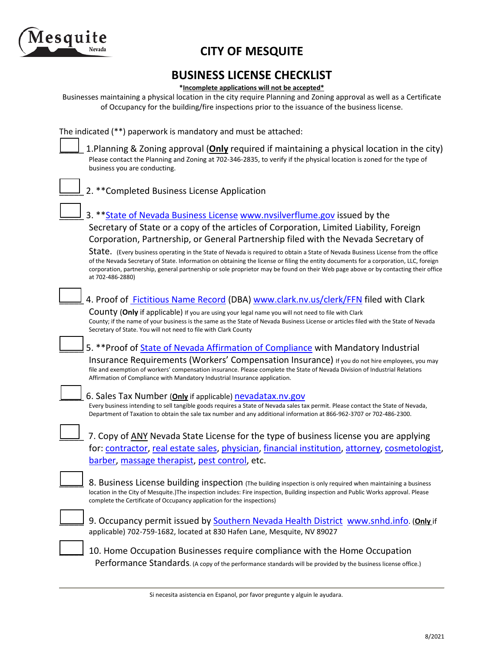

## **CITY OF MESQUITE**

# **BUSINESS LICENSE CHECKLIST \*Incomplete applications will not be accepted\***

Businesses maintaining a physical location in the city require Planning and Zoning approval as well as a Certificate of Occupancy for the building/fire inspections prior to the issuance of the business license.

The indicated (\*\*) paperwork is mandatory and must be attached:

1.Planning & Zoning approval (**Only** required if maintaining a physical location in the city) Please contact the Planning and Zoning at 702-346-2835, to verify if the physical location is zoned for the type of business you are conducting.

| 2. ** Completed Business License Application                                                                                                                                                                                                                                                                                                                                                                                         |
|--------------------------------------------------------------------------------------------------------------------------------------------------------------------------------------------------------------------------------------------------------------------------------------------------------------------------------------------------------------------------------------------------------------------------------------|
| 3. ** State of Nevada Business License www.nvsilverflume.gov issued by the                                                                                                                                                                                                                                                                                                                                                           |
| Secretary of State or a copy of the articles of Corporation, Limited Liability, Foreign                                                                                                                                                                                                                                                                                                                                              |
| Corporation, Partnership, or General Partnership filed with the Nevada Secretary of                                                                                                                                                                                                                                                                                                                                                  |
| State. (Every business operating in the State of Nevada is required to obtain a State of Nevada Business License from the office<br>of the Nevada Secretary of State. Information on obtaining the license or filing the entity documents for a corporation, LLC, foreign<br>corporation, partnership, general partnership or sole proprietor may be found on their Web page above or by contacting their office<br>at 702-486-2880) |
| 4. Proof of <b>Fictitious Name Record</b> (DBA) www.clark.nv.us/clerk/FFN filed with Clark                                                                                                                                                                                                                                                                                                                                           |
| <b>COUNTY (Only</b> if applicable) If you are using your legal name you will not need to file with Clark                                                                                                                                                                                                                                                                                                                             |
| County; if the name of your business is the same as the State of Nevada Business License or articles filed with the State of Nevada<br>Secretary of State. You will not need to file with Clark County                                                                                                                                                                                                                               |
| 5. ** Proof of State of Nevada Affirmation of Compliance with Mandatory Industrial                                                                                                                                                                                                                                                                                                                                                   |
| Insurance Requirements (Workers' Compensation Insurance) If you do not hire employees, you may<br>file and exemption of workers' compensation insurance. Please complete the State of Nevada Division of Industrial Relations<br>Affirmation of Compliance with Mandatory Industrial Insurance application.                                                                                                                          |
| 6. Sales Tax Number (Only if applicable) nevadatax.nv.gov                                                                                                                                                                                                                                                                                                                                                                            |
| Every business intending to sell tangible goods requires a State of Nevada sales tax permit. Please contact the State of Nevada,<br>Department of Taxation to obtain the sale tax number and any additional information at 866-962-3707 or 702-486-2300.                                                                                                                                                                             |
| 7. Copy of ANY Nevada State License for the type of business license you are applying                                                                                                                                                                                                                                                                                                                                                |
| for: contractor, real estate sales, physician, financial institution, attorney, cosmetologist,                                                                                                                                                                                                                                                                                                                                       |
| barber, massage therapist, pest control, etc.                                                                                                                                                                                                                                                                                                                                                                                        |
| 8. Business License building inspection (The building inspection is only required when maintaining a business                                                                                                                                                                                                                                                                                                                        |
| location in the City of Mesquite.)The inspection includes: Fire inspection, Building inspection and Public Works approval. Please<br>complete the Certificate of Occupancy application for the inspections)                                                                                                                                                                                                                          |
| 9. Occupancy permit issued by Southern Nevada Health District www.snhd.info. (Only if                                                                                                                                                                                                                                                                                                                                                |
| applicable) 702-759-1682, located at 830 Hafen Lane, Mesquite, NV 89027                                                                                                                                                                                                                                                                                                                                                              |
| 10. Home Occupation Businesses require compliance with the Home Occupation                                                                                                                                                                                                                                                                                                                                                           |
| Performance Standards. (A copy of the performance standards will be provided by the business license office.)                                                                                                                                                                                                                                                                                                                        |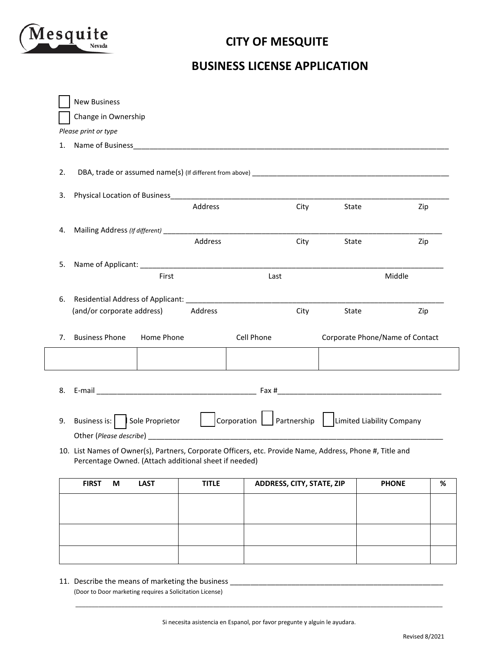

### **CITY OF MESQUITE**

#### **BUSINESS LICENSE APPLICATION**

|    | <b>New Business</b>                                                                                                                                                                                                                  |             |              |                           |      |       |                                                                                      |   |
|----|--------------------------------------------------------------------------------------------------------------------------------------------------------------------------------------------------------------------------------------|-------------|--------------|---------------------------|------|-------|--------------------------------------------------------------------------------------|---|
|    | Change in Ownership                                                                                                                                                                                                                  |             |              |                           |      |       |                                                                                      |   |
|    | Please print or type                                                                                                                                                                                                                 |             |              |                           |      |       |                                                                                      |   |
| 1. | Name of Business <b>Contract Contract Contract Contract Contract Contract Contract Contract Contract Contract Contract Contract Contract Contract Contract Contract Contract Contract Contract Contract Contract Contract Contra</b> |             |              |                           |      |       |                                                                                      |   |
| 2. |                                                                                                                                                                                                                                      |             |              |                           |      |       |                                                                                      |   |
| 3. |                                                                                                                                                                                                                                      |             |              |                           |      |       |                                                                                      |   |
|    |                                                                                                                                                                                                                                      |             | Address      |                           | City | State | Zip                                                                                  |   |
| 4. |                                                                                                                                                                                                                                      |             |              |                           |      |       |                                                                                      |   |
|    |                                                                                                                                                                                                                                      |             | Address      |                           | City | State | Zip                                                                                  |   |
| 5. |                                                                                                                                                                                                                                      |             |              |                           |      |       |                                                                                      |   |
|    |                                                                                                                                                                                                                                      | First       |              | Last                      |      |       | Middle                                                                               |   |
| 6. |                                                                                                                                                                                                                                      |             |              |                           |      |       |                                                                                      |   |
|    | (and/or corporate address)                                                                                                                                                                                                           |             | Address      |                           | City | State | Zip                                                                                  |   |
| 7. | <b>Business Phone</b>                                                                                                                                                                                                                | Home Phone  |              | Cell Phone                |      |       | Corporate Phone/Name of Contact                                                      |   |
|    |                                                                                                                                                                                                                                      |             |              |                           |      |       |                                                                                      |   |
|    |                                                                                                                                                                                                                                      |             |              |                           |      |       |                                                                                      |   |
| 9. |                                                                                                                                                                                                                                      |             |              |                           |      |       | Business is: Sole Proprietor   Corporation   Partnership   Limited Liability Company |   |
|    |                                                                                                                                                                                                                                      |             |              |                           |      |       |                                                                                      |   |
|    | 10. List Names of Owner(s), Partners, Corporate Officers, etc. Provide Name, Address, Phone #, Title and<br>Percentage Owned. (Attach additional sheet if needed)                                                                    |             |              |                           |      |       |                                                                                      |   |
|    | <b>FIRST</b><br>M                                                                                                                                                                                                                    | <b>LAST</b> | <b>TITLE</b> | ADDRESS, CITY, STATE, ZIP |      |       | <b>PHONE</b>                                                                         | % |
|    |                                                                                                                                                                                                                                      |             |              |                           |      |       |                                                                                      |   |
|    |                                                                                                                                                                                                                                      |             |              |                           |      |       |                                                                                      |   |
|    |                                                                                                                                                                                                                                      |             |              |                           |      |       |                                                                                      |   |

11. Describe the means of marketing the business \_ (Door to Door marketing requires a Solicitation License)

\_\_\_\_\_\_\_\_\_\_\_\_\_\_\_\_\_\_\_\_\_\_\_\_\_\_\_\_\_\_\_\_\_\_\_\_\_\_\_\_\_\_\_\_\_\_\_\_\_\_\_\_\_\_\_\_\_\_\_\_\_\_\_\_\_\_\_\_\_\_\_\_\_\_\_\_\_\_\_\_\_\_\_\_\_\_\_\_\_\_\_\_\_\_\_\_\_\_\_\_\_\_\_\_\_\_\_\_\_\_\_\_